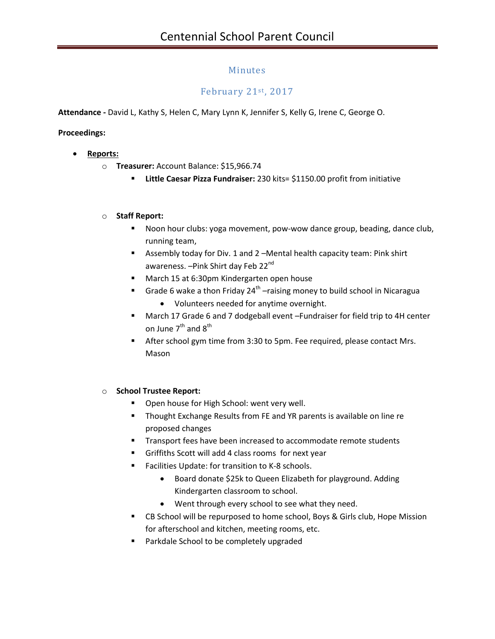# Minutes

# February 21st, 2017

**Attendance -** David L, Kathy S, Helen C, Mary Lynn K, Jennifer S, Kelly G, Irene C, George O.

**Proceedings:**

- **Reports:**
	- o **Treasurer:** Account Balance: \$15,966.74
		- **Little Caesar Pizza Fundraiser:** 230 kits= \$1150.00 profit from initiative

#### o **Staff Report:**

- Noon hour clubs: yoga movement, pow-wow dance group, beading, dance club, running team,
- Assembly today for Div. 1 and 2 –Mental health capacity team: Pink shirt awareness. - Pink Shirt day Feb 22<sup>nd</sup>
- **March 15 at 6:30pm Kindergarten open house**
- **Grade 6 wake a thon Friday 24<sup>th</sup>** -raising money to build school in Nicaragua
	- Volunteers needed for anytime overnight.
- March 17 Grade 6 and 7 dodgeball event –Fundraiser for field trip to 4H center on June  $7^{th}$  and  $8^{th}$
- After school gym time from 3:30 to 5pm. Fee required, please contact Mrs. Mason

#### o **School Trustee Report:**

- **Open house for High School: went very well.**
- **Thought Exchange Results from FE and YR parents is available on line re** proposed changes
- **Transport fees have been increased to accommodate remote students**
- Griffiths Scott will add 4 class rooms for next year
- Facilities Update: for transition to K-8 schools.
	- Board donate \$25k to Queen Elizabeth for playground. Adding Kindergarten classroom to school.
	- Went through every school to see what they need.
- CB School will be repurposed to home school, Boys & Girls club, Hope Mission for afterschool and kitchen, meeting rooms, etc.
- **Parkdale School to be completely upgraded**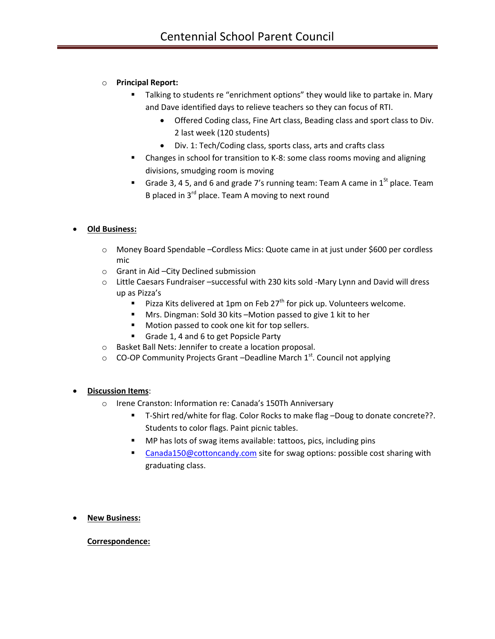# o **Principal Report:**

- Talking to students re "enrichment options" they would like to partake in. Mary and Dave identified days to relieve teachers so they can focus of RTI.
	- Offered Coding class, Fine Art class, Beading class and sport class to Div. 2 last week (120 students)
	- Div. 1: Tech/Coding class, sports class, arts and crafts class
- Changes in school for transition to K-8: some class rooms moving and aligning divisions, smudging room is moving
- Grade 3, 4 5, and 6 and grade 7's running team: Team A came in  $1<sup>St</sup>$  place. Team B placed in  $3^{rd}$  place. Team A moving to next round

### **Old Business:**

- o Money Board Spendable –Cordless Mics: Quote came in at just under \$600 per cordless mic
- o Grant in Aid –City Declined submission
- o Little Caesars Fundraiser –successful with 230 kits sold -Mary Lynn and David will dress up as Pizza's
	- **Pizza Kits delivered at 1pm on Feb 27<sup>th</sup> for pick up. Volunteers welcome.**
	- Mrs. Dingman: Sold 30 kits –Motion passed to give 1 kit to her
	- Motion passed to cook one kit for top sellers.
	- Grade 1, 4 and 6 to get Popsicle Party
- o Basket Ball Nets: Jennifer to create a location proposal.
- $\circ$  CO-OP Community Projects Grant –Deadline March 1st. Council not applying

### **Discussion Items**:

- o Irene Cranston: Information re: Canada's 150Th Anniversary
	- T-Shirt red/white for flag. Color Rocks to make flag –Doug to donate concrete??. Students to color flags. Paint picnic tables.
	- MP has lots of swag items available: tattoos, pics, including pins
	- [Canada150@cottoncandy.com](mailto:Canada150@cottoncandy.com) site for swag options: possible cost sharing with graduating class.
- **New Business:**

### **Correspondence:**